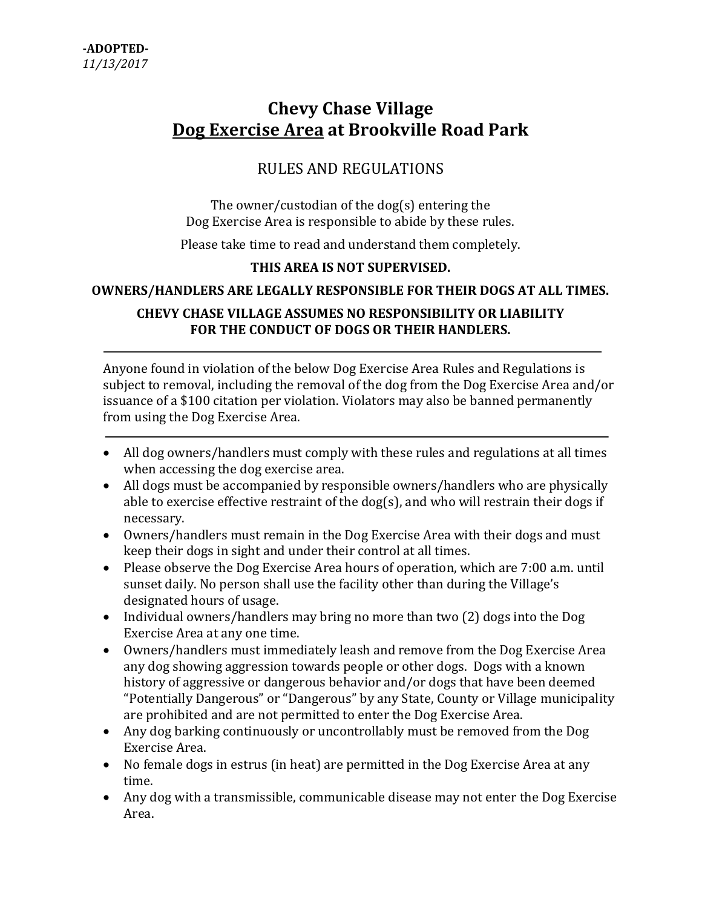# Chevy Chase Village Dog Exercise Area at Brookville Road Park

# RULES AND REGULATIONS

The owner/custodian of the dog(s) entering the Dog Exercise Area is responsible to abide by these rules.

Please take time to read and understand them completely.

### THIS AREA IS NOT SUPERVISED.

#### OWNERS/HANDLERS ARE LEGALLY RESPONSIBLE FOR THEIR DOGS AT ALL TIMES.

## CHEVY CHASE VILLAGE ASSUMES NO RESPONSIBILITY OR LIABILITY FOR THE CONDUCT OF DOGS OR THEIR HANDLERS.

Anyone found in violation of the below Dog Exercise Area Rules and Regulations is subject to removal, including the removal of the dog from the Dog Exercise Area and/or issuance of a \$100 citation per violation. Violators may also be banned permanently from using the Dog Exercise Area.

- All dog owners/handlers must comply with these rules and regulations at all times when accessing the dog exercise area.
- All dogs must be accompanied by responsible owners/handlers who are physically able to exercise effective restraint of the dog(s), and who will restrain their dogs if necessary.
- Owners/handlers must remain in the Dog Exercise Area with their dogs and must keep their dogs in sight and under their control at all times.
- Please observe the Dog Exercise Area hours of operation, which are 7:00 a.m. until sunset daily. No person shall use the facility other than during the Village's designated hours of usage.
- Individual owners/handlers may bring no more than two (2) dogs into the Dog Exercise Area at any one time.
- Owners/handlers must immediately leash and remove from the Dog Exercise Area any dog showing aggression towards people or other dogs. Dogs with a known history of aggressive or dangerous behavior and/or dogs that have been deemed "Potentially Dangerous" or "Dangerous" by any State, County or Village municipality are prohibited and are not permitted to enter the Dog Exercise Area.
- Any dog barking continuously or uncontrollably must be removed from the Dog Exercise Area.
- No female dogs in estrus (in heat) are permitted in the Dog Exercise Area at any time.
- Any dog with a transmissible, communicable disease may not enter the Dog Exercise Area.